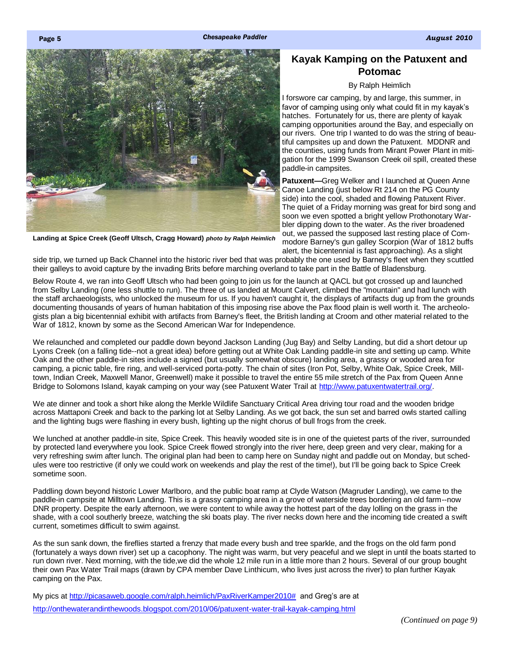<span id="page-0-0"></span>



**Landing at Spice Creek (Geoff Ultsch, Cragg Howard)** *photo by Ralph Heimlich*

## **Kayak Kamping on the Patuxent and Potomac**

## By Ralph Heimlich

I forswore car camping, by and large, this summer, in favor of camping using only what could fit in my kayak's hatches. Fortunately for us, there are plenty of kayak camping opportunities around the Bay, and especially on our rivers. One trip I wanted to do was the string of beautiful campsites up and down the Patuxent. MDDNR and the counties, using funds from Mirant Power Plant in mitigation for the 1999 Swanson Creek oil spill, created these paddle-in campsites.

**Patuxent—**Greg Welker and I launched at Queen Anne Canoe Landing (just below Rt 214 on the PG County side) into the cool, shaded and flowing Patuxent River. The quiet of a Friday morning was great for bird song and soon we even spotted a bright yellow Prothonotary Warbler dipping down to the water. As the river broadened out, we passed the supposed last resting place of Commodore Barney's gun galley Scorpion (War of 1812 buffs alert, the bicentennial is fast approaching). As a slight

side trip, we turned up Back Channel into the historic river bed that was probably the one used by Barney's fleet when they scuttled their galleys to avoid capture by the invading Brits before marching overland to take part in the Battle of Bladensburg.

Below Route 4, we ran into Geoff Ultsch who had been going to join us for the launch at QACL but got crossed up and launched from Selby Landing (one less shuttle to run). The three of us landed at Mount Calvert, climbed the "mountain" and had lunch with the staff archaeologists, who unlocked the museum for us. If you haven't caught it, the displays of artifacts dug up from the grounds documenting thousands of years of human habitation of this imposing rise above the Pax flood plain is well worth it. The archeologists plan a big bicentennial exhibit with artifacts from Barney's fleet, the British landing at Croom and other material related to the War of 1812, known by some as the Second American War for Independence.

We relaunched and completed our paddle down beyond Jackson Landing (Jug Bay) and Selby Landing, but did a short detour up Lyons Creek (on a falling tide--not a great idea) before getting out at White Oak Landing paddle-in site and setting up camp. White Oak and the other paddle-in sites include a signed (but usually somewhat obscure) landing area, a grassy or wooded area for camping, a picnic table, fire ring, and well-serviced porta-potty. The chain of sites (Iron Pot, Selby, White Oak, Spice Creek, Milltown, Indian Creek, Maxwell Manor, Greenwell) make it possible to travel the entire 55 mile stretch of the Pax from Queen Anne Bridge to Solomons Island, kayak camping on your way (see Patuxent Water Trail at [http://www.patuxentwatertrail.org/.](http://www.patuxentwatertrail.org/)

We ate dinner and took a short hike along the Merkle Wildlife Sanctuary Critical Area driving tour road and the wooden bridge across Mattaponi Creek and back to the parking lot at Selby Landing. As we got back, the sun set and barred owls started calling and the lighting bugs were flashing in every bush, lighting up the night chorus of bull frogs from the creek.

We lunched at another paddle-in site, Spice Creek. This heavily wooded site is in one of the quietest parts of the river, surrounded by protected land everywhere you look. Spice Creek flowed strongly into the river here, deep green and very clear, making for a very refreshing swim after lunch. The original plan had been to camp here on Sunday night and paddle out on Monday, but schedules were too restrictive (if only we could work on weekends and play the rest of the time!), but I'll be going back to Spice Creek sometime soon.

Paddling down beyond historic Lower Marlboro, and the public boat ramp at Clyde Watson (Magruder Landing), we came to the paddle-in campsite at Milltown Landing. This is a grassy camping area in a grove of waterside trees bordering an old farm--now DNR property. Despite the early afternoon, we were content to while away the hottest part of the day lolling on the grass in the shade, with a cool southerly breeze, watching the ski boats play. The river necks down here and the incoming tide created a swift current, sometimes difficult to swim against.

As the sun sank down, the fireflies started a frenzy that made every bush and tree sparkle, and the frogs on the old farm pond (fortunately a ways down river) set up a cacophony. The night was warm, but very peaceful and we slept in until the boats started to run down river. Next morning, with the tide,we did the whole 12 mile run in a little more than 2 hours. Several of our group bought their own Pax Water Trail maps (drawn by CPA member Dave Linthicum, who lives just across the river) to plan further Kayak camping on the Pax.

My pics at [http://picasaweb.google.com/ralph.heimlich/PaxRiverKamper2010#](http://picasaweb.google.com/ralph.heimlich/PaxRiverKamper2010) and Greg's are at <http://onthewaterandinthewoods.blogspot.com/2010/06/patuxent-water-trail-kayak-camping.html>